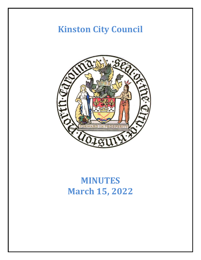# **Kinston City Council**



# **MINUTES March 15, 2022**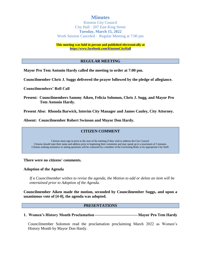# **Minutes**

Kinston City Council City Hall · 207 East King Street **Tuesday, March 15, 2022** Work Session Canceled · Regular Meeting at 7:00 pm

**This meeting was held in person and published electronically at <https://www.facebook.com/KinstonCityHall>**

#### **REGULAR MEETING**

**Mayor Pro Tem Antonio Hardy called the meeting to order at 7:00 pm.**

**Councilmember Chris J. Suggs delivered the prayer followed by the pledge of allegiance.**

**Councilmembers' Roll Call**

**Present: Councilmembers Sammy Aiken, Felicia Solomon, Chris J. Sugg, and Mayor Pro Tem Antonio Hardy.**

**Present Also: Rhonda Barwick, Interim City Manager and James Cauley, City Attorney.**

**Absent: Councilmember Robert Swinson and Mayor Don Hardy.**

#### **CITIZEN COMMENT**

Citizens must sign in prior to the start of the meeting if they wish to address the City Council. Citizens should state their name and address prior to beginning their comments and may speak up to a maximum of 3 minutes. Citizens seeking assistance or asking questions will be contacted by a member of the Governing Body or by appropriate City Staff.

**There were no citizens' comments.**

#### **Adoption of the Agenda**

*If a Councilmember wishes to revise the agenda, the Motion to add or delete an item will be entertained prior to Adoption of the Agenda.*

**Councilmember Aiken made the motion, seconded by Councilmember Suggs, and upon a unanimous vote of [4-0], the agenda was adopted.**

#### **PRESENTATIONS**

**1. Women's History Month Proclamation ---------------------------------Mayor Pro Tem Hardy**

Councilmember Solomon read the proclamation proclaiming March 2022 as Women's History Month by Mayor Don Hardy.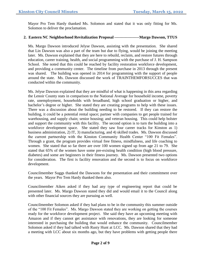Mayor Pro Tem Hardy thanked Ms. Solomon and stated that it was only fitting for Ms. Solomon to deliver the proclamation.

# **2. Eastern NC Neighborhood Revitalization Proposal -------------------Margo Dawson, TTUS**

Ms. Margo Dawson introduced Jelyse Dawson, assisting with the presentation. She shared that Lin Dawson was also a part of the team but due to flying, would be joining the meeting later. Ms. Dawson explained that they are here to rebuild, reclaim, and restore futures through education, career training, health, and social programming with the purchase of J. H. Sampson School. She noted that this could be reached by facility restoration workforce development, and providing a community center. The timeline from purchase in 2013 through the present was shared. The building was opened in 2014 for programming with the support of people around the state. Ms. Dawson discussed the work of TRAINTHEMFORSUCCES that was conducted within the community.

Ms. Jelyse Dawson explained that they are mindful of what is happening in this area regarding the Lenoir County stats in comparison to the National Average for household income, poverty rate, unemployment, households with broadband, high school graduation or higher, and bachelor's degree or higher. She stated they are creating programs to help with these issues. There was a discussion about the building needing to be restored. If they can restore the building, it could be a potential rental space; partner with companies to get people trained for warehousing, and supply chain; senior housing; and veteran housing. This could help bolster and support the community with this facility. The second option is to turn the building into a workforce development space. She stated they saw four career tracks for Kinston as 1) business administration, 2) IT, 3) manufacturing, and 4) skilled trades. Ms. Dawson discussed the current partnership with the Kinston Community Health Center "100 Fit Females". Through a grant, the program provides virtual free fitness, mindfulness, and life coaching to women. She stated that so far there are over 100 women signed up from age 21 to 79. She stated that 65% of the women have some pre-existing health condition (high blood pressure, diabetes) and some are beginners in their fitness journey. Ms. Dawson presented two options for consideration. The first is facility renovation and the second is to focus on workforce development.

Councilmember Suggs thanked the Dawsons for the presentation and their commitment over the years. Mayor Pro Tem Hardy thanked them also.

Councilmember Aiken asked if they had any type of engineering report that could be presented later. Ms. Margo Dawson stated they did and would email it to the Council along with other financial sources they are pursuing as well.

Councilmember Solomon asked if they had plans to be in the community this summer outside of the "100 Fit Females". Ms. Margo Dawson stated they are working on getting the courses ready for the workforce development project. She said they have an upcoming meeting with Amazon and if they cannot get assistance with renovations, they are looking for someone interested in purchasing the building that would enhance the community. Councilmember Solomon asked if they had talked with Rusty Hunt at LCC. Ms. Dawson shared that they had a meeting with LCC about six months ago, but they have problems with getting people there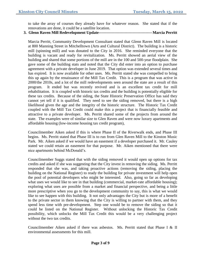to take the array of courses they already have for whatever reason. She stated that if the renovations are done, it could be a satellite location.

**3. Glenn Raven Mill Redevelopment Update-----------------------------------------Marcia Perritt**

Marcia Perritt, Community Development Consultant stated that Glenn Raven Mill is located at 800 Manning Street in Mitchelltown (Arts and Cultural District). The building is a historic mill (spinning mill) and was donated to the City in 2016. She reminded everyone that the building is vacant and ready for revitalization. Ms. Perritt showed an aerial view of the building and shared that some portions of the mill are in the 100 and 500-year floodplain. She gave some of the building stats and noted that the City did enter into an option to purchase agreement with a private developer in June 2019. That option was extended several times and has expired. It is now available for other uses. Ms. Perritt stated she was compelled to bring this up again by the renaissance of the Mill Tax Credit. This is a program that was active in 2000/the 2010s, and a lot of the mill redevelopments seen around the state are a result of this program. It ended but was recently revived and is an excellent tax credit for mill rehabilitation. It is coupled with historic tax credits and the building is potentially eligible for these tax credits. Because of the siding, the State Historic Preservation Office has said they cannot yet tell if it is qualified. They need to see the siding removed, but there is a high likelihood given the age and the integrity of the historic structure. The Historic Tax Credit coupled with the Mill Tax Credit could make this a project that is financially feasible and attractive to a private developer. Ms. Perritt shared some of the projects from around the state. The examples were of similar size to Glen Raven and were now luxury apartments and affordable housing (low-income housing tax credit program),

Councilmember Aiken asked if this is where Phase II of the Riverwalk ends, and Phase III begins. Ms. Perritt stated that Phase III is to run from Glen Raven Mill to the Kinston Music Park. Mr. Aiken asked if we would have an easement if a developer purchased it. Mr. Cauley stated we could retain an easement for that purpose. Mr. Aiken mentioned that there were nice apartments behind McDonald's.

Councilmember Suggs stated that with the siding removed it would open up options for tax credits and asked if she was suggesting that the City invest in removing the siding. Ms. Perritt responded that she was, and taking proactive actions (removing the siding, placing the building on the National Register) to ready the building for private investment will help open the pool of potential developers who might be interested. Also, going so far as developing what uses we would like to see in that building (commercial, market-rate affordable housing); exploring what uses are possible from a market and financial perspective, and being a little more prescriptive when you go to the development community to say, this is what we would like to see happen with this building. It not only advantages the City but is more of a benefit to the private sector in them knowing that the City is willing to partner with them, and they spend less time with pre-development. Step one would be to remove the siding so that it could be listed on the National Register. Without unlocking the Historic Tax Credit possibility, which unlocks the Mill Tax Credit this would be a very challenging project without the two tax credits.

Councilmember Aiken asked if there was asbestos. Ms. Perritt stated that Phase I & II environmental assessments for this mill.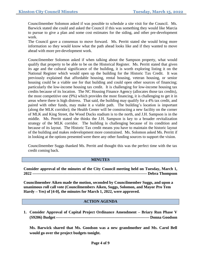Councilmember Solomon asked if was possible to schedule a site visit for the Council. Ms. Barwick stated she could and asked the Council if this was something they would like Marcia to pursue to give a plan and some cost estimates for the siding, and other pre-development work.

The Council gave a consensus to move forward. Ms. Perritt stated she would bring more information so they would know what the path ahead looks like and if they wanted to move ahead with more pre-development work.

Councilmember Solomon asked if when talking about the Sampson property, what would qualify that property to be able to be on the Historical Register. Ms. Perritt stated that given its age and the cultural significance of the building, it is worth exploring listing it on the National Register which would open up the building for the Historic Tax Credit. It was previously explained that affordable housing, rental housing, veteran housing, or senior housing could be a viable use for that building and could open other sources of financing; particularly the low-income housing tax credit. It is challenging for low-income housing tax credits because of its location. The NC Housing Finance Agency (allocates those tax credits), the most competitive one (9%) which provides the most financing, it is challenging to get it in areas where there is high distress. That said, the building may qualify for a 4% tax credit, and paired with other funds, may make it a viable path. The building's location is important (along the MLK corridor); the Health Center will be constructing a new facility on the corner of MLK and King Street, the Wood Ducks stadium is to the north, and J.H. Sampson is in the middle. Ms. Perritt stated she thinks the J.H. Sampson is key to a broader revitalization strategy of the MLK corridor. The building is challenging because of its condition and because of its layout. The Historic Tax credit means you have to maintain the historic layout of the building and makes redevelopment more constrained. Ms. Solomon asked Ms. Perritt if in looking at the options presented were there any other funding sources to support the vision.

Councilmember Suggs thanked Ms. Perritt and thought this was the perfect time with the tax credit coming back.

#### **MINUTES**

**Consider approval of the minutes of the City Council meeting held on Tuesday, March 1, 2022 ---------------------------------------------------------------------------------------- Debra Thompson**

**Councilmember Aiken made the motion, seconded by Councilmember Suggs, and upon a unanimous roll call vote (Councilmembers Aiken, Suggs, Solomon, and Mayor Pro Tem Hardy – Yes) of [4-0], the minutes for March 1, 2022, were approved.**

#### **ACTION AGENDA**

**1. Consider Approval of Capital Project Ordinance Amendment – Briary Run Phase V (S9206) Budget------------------------------------------------------------------------ Donna Goodson**

**Ms. Barwick shared that Ms. Goodson was a new grandmother and Ms. Carol Bell would go over the project budgets tonight.**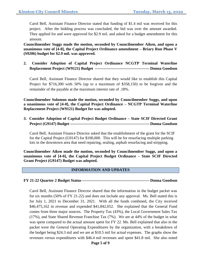Carol Bell, Assistant Finance Director stated that funding of \$1.4 mil was received for this project. After the bidding process was concluded, the bid was over the amount awarded. They applied for and were approved for \$2.9 mil. and asked for a budget amendment for this amount.

**Councilmember Suggs made the motion, seconded by Councilmember Aiken, and upon a unanimous vote of [4-0], the Capital Project Ordinance amendment – Briary Run Phase V (S9206) budget for \$2.9 mil. was approved.**

**2. Consider Adoption of Capital Project Ordinance NCGTP Terminal Waterline Replacement Project (W9121) Budget ------------------------------------------ Donna Goodson**

Carol Bell, Assistant Finance Director shared that they would like to establish this Capital Project for \$716,300 with 50% (up to a maximum of \$358,150) to be forgiven and the remainder of the payable at the maximum interest rate of .18%.

**Councilmember Solomon made the motion, seconded by Councilmember Suggs, and upon a unanimous vote of [4-0], the Capital Project Ordinance – NCGTP Terminal Waterline Replacement Project (W9121) Budget for was adopted.**

**3. Consider Adoption of Capital Project Budget Ordinance – State SCIF Directed Grant Project (G9147) Budget ------------------------------------------------------------- Donna Goodson**

Carol Bell, Assistant Finance Director asked that the establishment of the grant for the SCIF for the Capital Project (G9147) for \$100,000. This will be for resurfacing multiple parking lots in the downtown area that need repairing, sealing, asphalt resurfacing and stripping.

**Councilmember Aiken made the motion, seconded by Councilmember Suggs, and upon a unanimous vote of [4-0], the Capital Project Budget Ordinance – State SCIF Directed Grant Project (G9147) Budget was adopted.**

# **INFORMATION AND UPDATES**

**FY 21-22 Quarter 2 Budget Status---------------------------------------------------- Donna Goodson**

Carol Bell, Assistant Finance Director shared that the information in the budget packet was for six months (50% of FY 21-22) and does not include any approval. Ms. Bell stated this is for July 1, 2021 to December 31, 2021. With all the funds combined, the City received \$46,475,162 in revenue and expended \$41,842,052. She explained that the General Fund comes from three major sources. The Property Tax (43%), the Local Government Sales Tax (17%), and State Shared Revenue Franchise Tax (7%). We are at 44% of the budget in what was spent compared to the actual amount spent for FY 22. Ms. Bell explained that also in the packet were the General Operating Expenditures by the organization, with a breakdown of the budget being \$24.3 mil and we are at \$10.5 mil for actual expenses. The graphs show the revenues versus expenditures with \$46.4 mil revenues and spent \$41.8 mil. She also noted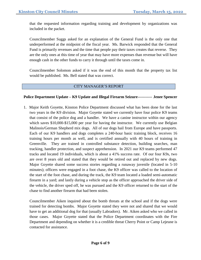that the requested information regarding training and development by organizations was included in the packet.

Councilmember Suggs asked for an explanation of the General Fund is the only one that underperformed at the midpoint of the fiscal year. Ms. Barwick responded that the General Fund is primarily revenues and the time that people pay their taxes creates that reverse. They are the only ones at this time of year that may have more expenses than revenue but will have enough cash in the other funds to carry it through until the taxes come in.

Councilmember Solomon asked if it was the end of this month that the property tax list would be published. Ms. Bell stated that was correct.

# CITY MANAGER'S REPORT

# **Police Department Update – K9 Update and Illegal Firearm Seizure----------- Jenee Spencer**

1. Major Keith Goyette, Kinston Police Department discussed what has been done for the last two years in the K9 division. Major Goyette stated we currently have four police K9 teams that consist of the police dog and a handler. We have a canine instructor within our agency which saves \$10,000-\$15,000 per year for having the instructor. We currently use Belgian Malinois/German Shepherd mix dogs. All of our dogs hail from Europe and have passports. Each of our K9 handlers and dogs completes a 240-hour basic training block, receives 16 training hours per month as well, and is certified annually with 40 hours of training in Greenville. They are trained in controlled substance detection, building searches, man tracking, handler protection, and suspect apprehension. In 2021 our K9 teams performed 47 tracks and located 19 individuals, which is about a 41% success rate. Of our four K9s, two are over 8 years old and stated that they would be retired out and replaced by new dogs. Major Goyette shared some success stories regarding a runaway juvenile (located in 5-10 minutes); officers were engaged in a foot chase, the K9 officer was called to the location of the start of the foot chase, and during the track, the K9 team located a loaded semi-automatic firearm in a yard; and lastly during a vehicle stop as the officer approached the driver side of the vehicle, the driver sped off, he was pursued and the K9 officer returned to the start of the chase to find another firearm that had been stolen.

Councilmember Aiken inquired about the bomb threats at the school and if the dogs were trained for detecting bombs. Major Goyette stated they were not and shared that we would have to get an additional dog for that (usually Labradors). Mr. Aiken asked who we called in those cases. Major Goyette stated that the Police Department coordinates with the Fire Department and depending on whether it is a credible threat Cherry Point or Camp Lejeune is contacted for assistance.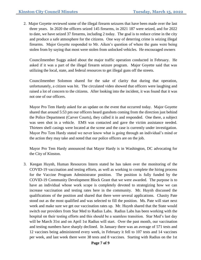2. Major Goyette reviewed some of the illegal firearm seizures that have been made over the last three years. In 2020 the officers seized 145 firearms, in 2021 187 were seized, and for 2022 to date, we have seized 37 firearms, including 2 today. The goal is to reduce crime in the city and produce a safe atmosphere for the citizens. One way of deterring crime is seizing illegal firearms. Major Goyette responded to Mr. Aiken's question of where the guns were being stolen from by saying that most were stolen from unlocked vehicles. He encouraged owners

Councilmember Suggs asked about the major traffic operation conducted in February. He asked if it was a part of the illegal firearm seizure program. Major Goyette said that was utilizing the local, state, and federal resources to get illegal guns off the streets.

Councilmember Solomon shared for the sake of clarity that during that operation, unfortunately, a citizen was hit. The circulated video showed that officers were laughing and raised a lot of concern to the citizens. After looking into the incident, it was found that it was not one of our officers.

Mayor Pro Tem Hardy asked for an update on the event that occurred today. Major Goyette shared that around 5:53 pm our officers heard gunshots coming from the direction just behind the Police Department (Carver Courts), they called it in and responded. One there, a subject was seen shot in a vehicle. EMS was contacted and gave the victim assistance needed. Thirteen shell casings were located at the scene and the case is currently under investigation. Mayor Pro Tem Hardy stated we never know what is going through an individual's mind or the action they may take and noted that our police officers are on the job.

Mayor Pro Tem Hardy announced that Mayor Hardy is in Washington, DC advocating for the City of Kinston.

3. Keegan Huynh, Human Resources Intern stated he has taken over the monitoring of the COVID-19 vaccination and testing efforts, as well as working to complete the hiring process for the Vaccine Program Administrator position. The position is fully funded by the COVID-19 Community Development Block Grant that we were awarded. The purpose is to have an individual whose work scope is completely devoted to strategizing how we can increase vaccination and testing rates here in the community. Mr. Huynh discussed the qualifications of the position and shared that there were several applications. Chasity Pate stood out as the most qualified and was selected to fill the position. Ms. Pate will start next week and make sure we get our vaccination rates up. Mr. Huynh shared that the State would switch our providers from Star Med to Radius Labs. Radius Labs has been working with the hospital on their testing efforts and this should be a seamless transition. Star Med's last day will be March 31st and on April 1st Radius will start. Over the past month, our vaccination and testing numbers have sharply declined. In January there was an average of 571 tests and 12 vaccines being administered every week, in February it fell to 107 tests and 14 vaccines per week, and last week there were 38 tests and 8 vaccines. Starting with Radius on the 1st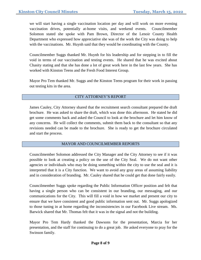we will start having a single vaccination location per day and will work on more evening vaccination drives, potentially at-home visits, and weekend events. Councilmember Solomon stated she spoke with Pam Brown, Director of the Lenoir County Health Department who expressed how appreciative she was of the work the City was doing to help with the vaccinations. Mr. Huynh said that they would be coordinating with the County.

Councilmember Suggs thanked Mr. Huynh for his leadership and for stepping in to fill the void in terms of our vaccination and testing events. He shared that he was excited about Chasity stating and that she has done a lot of great work here in the last few years. She has worked with Kinston Teens and the Fresh Food Interest Group.

Mayor Pro Tem thanked Mr. Suggs and the Kinston Teens program for their work in passing out testing kits in the area.

# CITY ATTORNEY'S REPORT

James Cauley, City Attorney shared that the recruitment search consultant prepared the draft brochure. He was asked to share the draft, which was done this afternoon. He stated he did get some comments back and asked the Council to look at the brochure and let him know of any concerns. He will collect the comments, submit them back to the consultant so that any revisions needed can be made to the brochure. She is ready to get the brochure circulated and start the process.

# MAYOR AND COUNCILMEMBER REPORTS

Councilmember Solomon addressed the City Manager and the City Attorney to see if it was possible to look at creating a policy on the use of the City Seal. We do not want other agencies or individuals who may be doing something within the city to use the seal and it is interpreted that it is a City function. We want to avoid any gray areas of assuming liability and in consideration of branding. Mr. Cauley shared that he could get that done fairly easily.

Councilmember Suggs spoke regarding the Public Information Officer position and felt that having a single person who can be consistent in our branding, our messaging, and our communications for the City. This will fill a void in how we market and present our city to ensure that we have consistent and good public information sent out. Mr. Suggs apologized to those tuning in at home regarding the inconsistencies in our Facebook Live stream. Ms. Barwick shared that Mr. Thomas felt that it was in the signal and not the building.

Mayor Pro Tem Hardy thanked the Dawsons for the presentation, Marcia for her presentation, and the staff for continuing to do a great job. He asked everyone to pray for the Swinson family.